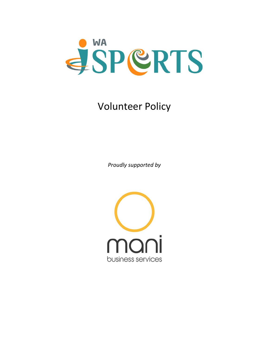

# Volunteer Policy

*Proudly supported by*

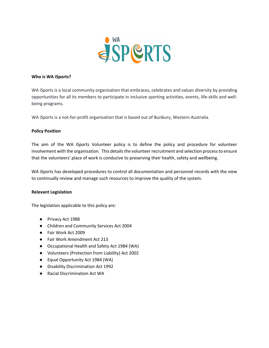

#### **Who is WA iSports?**

WA iSports is a local community organisation that embraces, celebrates and values diversity by providing opportunities for all its members to participate in inclusive sporting activities, events, life-skills and wellbeing programs.

WA iSports is a not-for-profit organisation that is based out of Bunbury, Western Australia.

# **Policy Position**

The aim of the WA iSports Volunteer policy is to define the policy and procedure for volunteer involvement with the organisation. This details the volunteer recruitment and selection process to ensure that the volunteers' place of work is conducive to preserving their health, safety and wellbeing.

WA iSports has developed procedures to control all documentation and personnel records with the view to continually review and manage such resources to improve the quality of the system.

# **Relevant Legislation**

The legislation applicable to this policy are:

- Privacy Act 1988
- Children and Community Services Act 2004
- Fair Work Act 2009
- Fair Work Amendment Act 213
- Occupational Health and Safety Act 1984 (WA)
- Volunteers (Protection from Liability) Act 2002
- Equal Opportunity Act 1984 (WA)
- Disability Discrimination Act 1992
- Racial Discrimination Act WA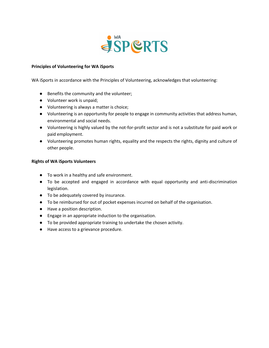

# **Principles of Volunteering for WA iSports**

WA iSports in accordance with the Principles of Volunteering, acknowledges that volunteering:

- Benefits the community and the volunteer;
- Volunteer work is unpaid;
- Volunteering is always a matter is choice;
- Volunteering is an opportunity for people to engage in community activities that address human, environmental and social needs.
- Volunteering is highly valued by the not-for-profit sector and is not a substitute for paid work or paid employment.
- Volunteering promotes human rights, equality and the respects the rights, dignity and culture of other people.

# **Rights of WA iSports Volunteers**

- To work in a healthy and safe environment.
- To be accepted and engaged in accordance with equal opportunity and anti-discrimination legislation.
- To be adequately covered by insurance.
- To be reimbursed for out of pocket expenses incurred on behalf of the organisation.
- Have a position description.
- Engage in an appropriate induction to the organisation.
- To be provided appropriate training to undertake the chosen activity.
- Have access to a grievance procedure.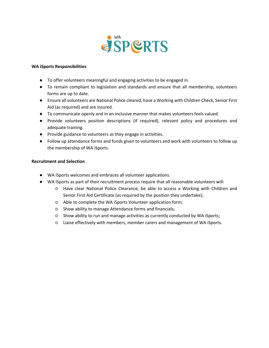

## **WA iSports Responsibilities**

- To offer volunteers meaningful and engaging activities to be engaged in.
- To remain compliant to legislation and standards and ensure that all membership, volunteers forms are up to date.
- Ensure all volunteers are National Police cleared, have a Working with Children Check, Senior First Aid (as required) and are insured.
- To communicate openly and in an inclusive manner that makes volunteers feels valued.
- Provide volunteers position descriptions (if required), relevant policy and procedures and adequate training.
- Provide guidance to volunteers as they engage in activities.
- Follow up attendance forms and funds given to volunteers and work with volunteers to follow up the membership of WA iSports.

#### **Recruitment and Selection**

- WA iSports welcomes and embraces all volunteer applications.
- WA iSports as part of their recruitment process require that all reasonable volunteers will:
	- Have clear National Police Clearance, be able to access a Working with Children and Senior First Aid Certificate (as required by the position they undertake);
	- Able to complete the WA iSports Volunteer application form;
	- Show ability to manage Attendance forms and financials;
	- Show ability to run and manage activities as currently conducted by WA iSports;
	- Liaise effectively with members, member carers and management of WA iSports.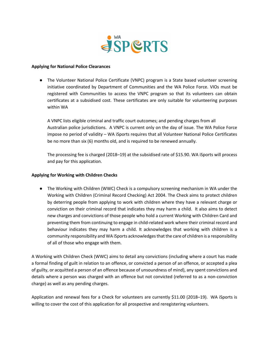

#### **Applying for National Police Clearances**

● The Volunteer National Police Certificate (VNPC) program is a State based volunteer screening initiative coordinated by Department of Communities and the WA Police Force. VIOs must be registered with Communities to access the VNPC program so that its volunteers can obtain certificates at a subsidised cost. These certificates are only suitable for volunteering purposes within WA

A VNPC lists eligible criminal and traffic court outcomes; and pending charges from all Australian police jurisdictions. A VNPC is current only on the day of issue. The WA Police Force impose no period of validity – WA iSports requires that all Volunteer National Police Certificates be no more than six (6) months old, and is required to be renewed annually.

The processing fee is charged (2018–19) at the subsidised rate of \$15.90. WA iSports will process and pay for this application.

# **Applying for Working with Children Checks**

● The Working with Children (WWC) Check is a compulsory screening mechanism in WA under the Working with Children (Criminal Record Checking) Act 2004. The Check aims to protect children by deterring people from applying to work with children where they have a relevant charge or conviction on their criminal record that indicates they may harm a child. It also aims to detect new charges and convictions of those people who hold a current Working with Children Card and preventing them from continuing to engage in child-related work where their criminal record and behaviour indicates they may harm a child. It acknowledges that working with children is a community responsibility and WA iSports acknowledges that the care of children is a responsibility of all of those who engage with them.

A Working with Children Check (WWC) aims to detail any convictions (including where a court has made a formal finding of guilt in relation to an offence, or convicted a person of an offence, or accepted a plea of guilty, or acquitted a person of an offence because of unsoundness of mind), any spent convictions and details where a person was charged with an offence but not convicted (referred to as a non-conviction charge) as well as any pending charges.

Application and renewal fees for a Check for volunteers are currently \$11.00 (2018–19). WA iSports is willing to cover the cost of this application for all prospective and reregistering volunteers.